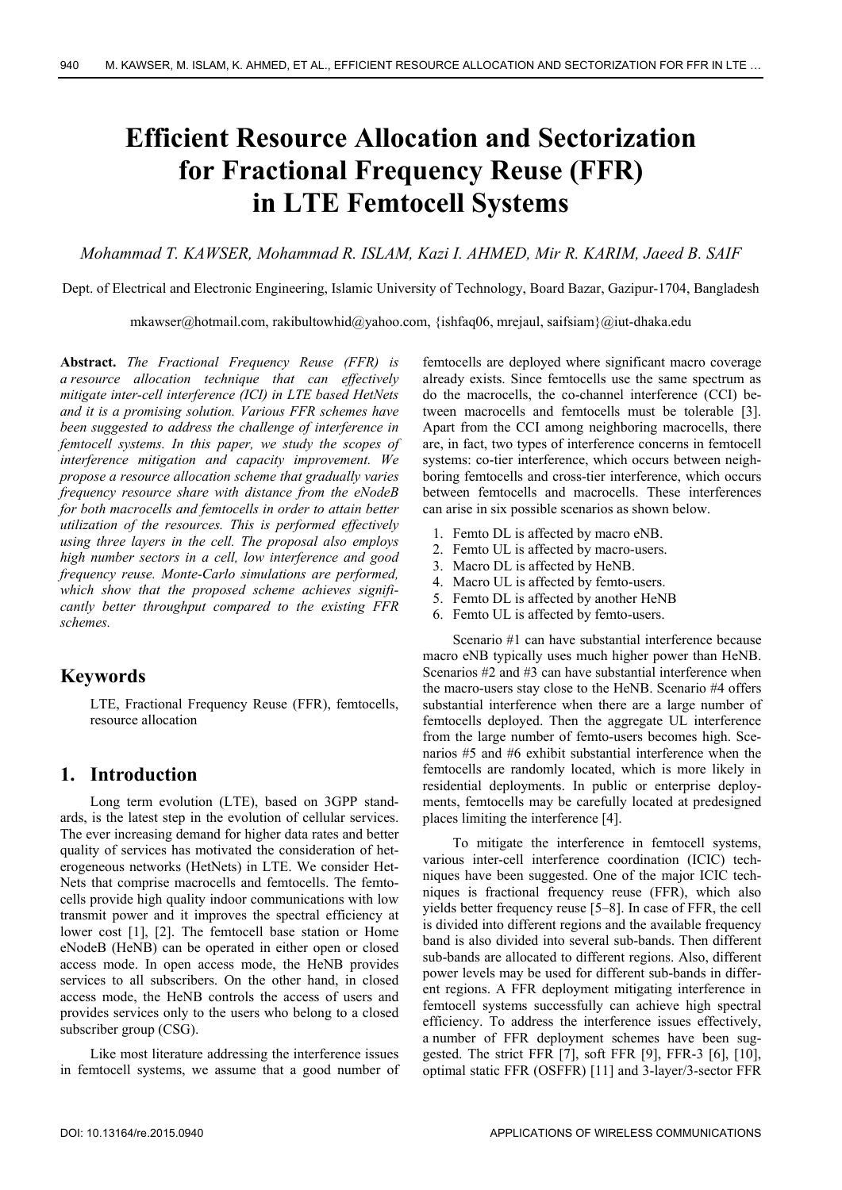# **Efficient Resource Allocation and Sectorization for Fractional Frequency Reuse (FFR) in LTE Femtocell Systems**

### *Mohammad T. KAWSER, Mohammad R. ISLAM, Kazi I. AHMED, Mir R. KARIM, Jaeed B. SAIF*

Dept. of Electrical and Electronic Engineering, Islamic University of Technology, Board Bazar, Gazipur-1704, Bangladesh

mkawser@hotmail.com, rakibultowhid@yahoo.com, {ishfaq06, mrejaul, saifsiam}@iut-dhaka.edu

**Abstract.** *The Fractional Frequency Reuse (FFR) is a resource allocation technique that can effectively mitigate inter-cell interference (ICI) in LTE based HetNets and it is a promising solution. Various FFR schemes have been suggested to address the challenge of interference in femtocell systems. In this paper, we study the scopes of interference mitigation and capacity improvement. We propose a resource allocation scheme that gradually varies frequency resource share with distance from the eNodeB for both macrocells and femtocells in order to attain better utilization of the resources. This is performed effectively using three layers in the cell. The proposal also employs high number sectors in a cell, low interference and good frequency reuse. Monte-Carlo simulations are performed, which show that the proposed scheme achieves significantly better throughput compared to the existing FFR schemes.* 

# **Keywords**

LTE, Fractional Frequency Reuse (FFR), femtocells, resource allocation

# **1. Introduction**

Long term evolution (LTE), based on 3GPP standards, is the latest step in the evolution of cellular services. The ever increasing demand for higher data rates and better quality of services has motivated the consideration of heterogeneous networks (HetNets) in LTE. We consider Het-Nets that comprise macrocells and femtocells. The femtocells provide high quality indoor communications with low transmit power and it improves the spectral efficiency at lower cost [1], [2]. The femtocell base station or Home eNodeB (HeNB) can be operated in either open or closed access mode. In open access mode, the HeNB provides services to all subscribers. On the other hand, in closed access mode, the HeNB controls the access of users and provides services only to the users who belong to a closed subscriber group (CSG).

Like most literature addressing the interference issues in femtocell systems, we assume that a good number of

femtocells are deployed where significant macro coverage already exists. Since femtocells use the same spectrum as do the macrocells, the co-channel interference (CCI) between macrocells and femtocells must be tolerable [3]. Apart from the CCI among neighboring macrocells, there are, in fact, two types of interference concerns in femtocell systems: co-tier interference, which occurs between neighboring femtocells and cross-tier interference, which occurs between femtocells and macrocells. These interferences can arise in six possible scenarios as shown below.

- 1. Femto DL is affected by macro eNB.
- 2. Femto UL is affected by macro-users.
- 3. Macro DL is affected by HeNB.
- 4. Macro UL is affected by femto-users.
- 5. Femto DL is affected by another HeNB
- 6. Femto UL is affected by femto-users.

Scenario #1 can have substantial interference because macro eNB typically uses much higher power than HeNB. Scenarios #2 and #3 can have substantial interference when the macro-users stay close to the HeNB. Scenario #4 offers substantial interference when there are a large number of femtocells deployed. Then the aggregate UL interference from the large number of femto-users becomes high. Scenarios #5 and #6 exhibit substantial interference when the femtocells are randomly located, which is more likely in residential deployments. In public or enterprise deployments, femtocells may be carefully located at predesigned places limiting the interference [4].

To mitigate the interference in femtocell systems, various inter-cell interference coordination (ICIC) techniques have been suggested. One of the major ICIC techniques is fractional frequency reuse (FFR), which also yields better frequency reuse [5–8]. In case of FFR, the cell is divided into different regions and the available frequency band is also divided into several sub-bands. Then different sub-bands are allocated to different regions. Also, different power levels may be used for different sub-bands in different regions. A FFR deployment mitigating interference in femtocell systems successfully can achieve high spectral efficiency. To address the interference issues effectively, a number of FFR deployment schemes have been suggested. The strict FFR [7], soft FFR [9], FFR-3 [6], [10], optimal static FFR (OSFFR) [11] and 3-layer/3-sector FFR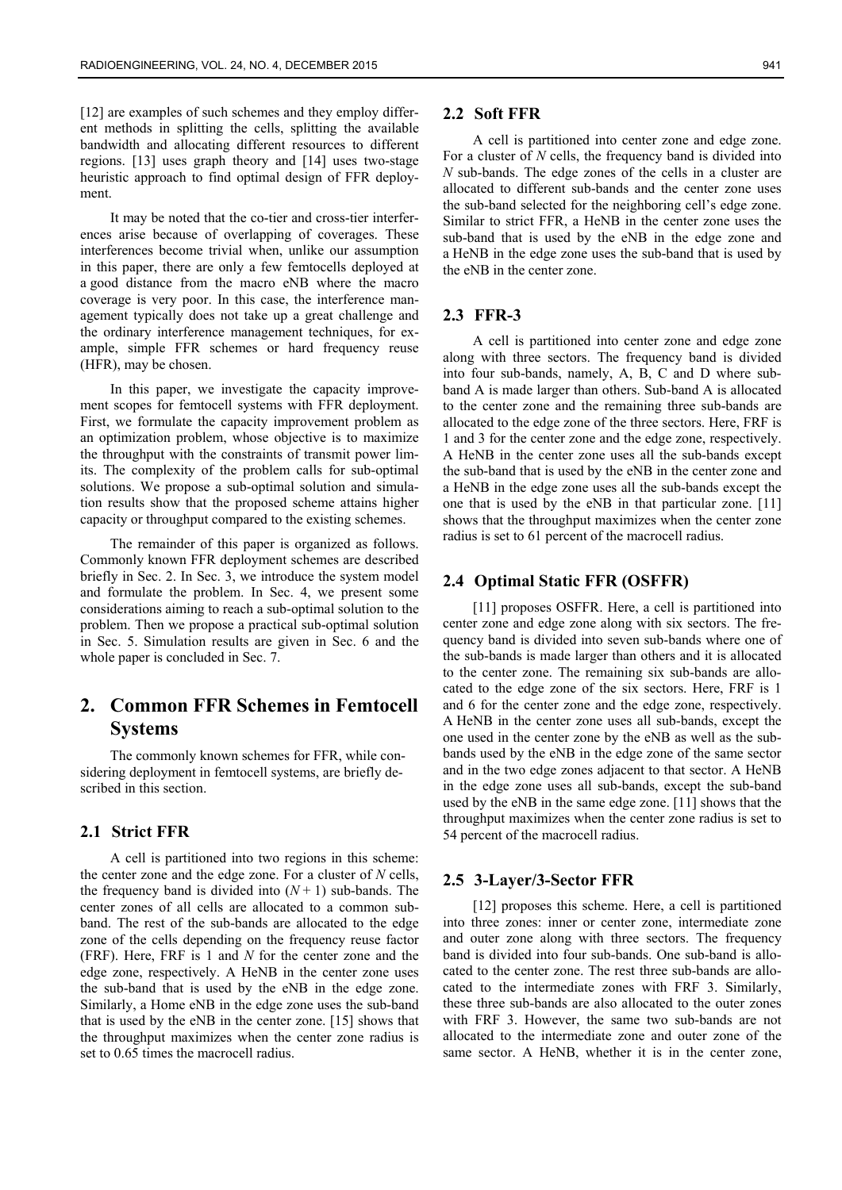[12] are examples of such schemes and they employ different methods in splitting the cells, splitting the available bandwidth and allocating different resources to different regions. [13] uses graph theory and [14] uses two-stage heuristic approach to find optimal design of FFR deployment.

It may be noted that the co-tier and cross-tier interferences arise because of overlapping of coverages. These interferences become trivial when, unlike our assumption in this paper, there are only a few femtocells deployed at a good distance from the macro eNB where the macro coverage is very poor. In this case, the interference management typically does not take up a great challenge and the ordinary interference management techniques, for example, simple FFR schemes or hard frequency reuse (HFR), may be chosen.

In this paper, we investigate the capacity improvement scopes for femtocell systems with FFR deployment. First, we formulate the capacity improvement problem as an optimization problem, whose objective is to maximize the throughput with the constraints of transmit power limits. The complexity of the problem calls for sub-optimal solutions. We propose a sub-optimal solution and simulation results show that the proposed scheme attains higher capacity or throughput compared to the existing schemes.

The remainder of this paper is organized as follows. Commonly known FFR deployment schemes are described briefly in Sec. 2. In Sec. 3, we introduce the system model and formulate the problem. In Sec. 4, we present some considerations aiming to reach a sub-optimal solution to the problem. Then we propose a practical sub-optimal solution in Sec. 5. Simulation results are given in Sec. 6 and the whole paper is concluded in Sec. 7.

# **2. Common FFR Schemes in Femtocell Systems**

The commonly known schemes for FFR, while considering deployment in femtocell systems, are briefly described in this section.

#### **2.1 Strict FFR**

A cell is partitioned into two regions in this scheme: the center zone and the edge zone. For a cluster of *N* cells, the frequency band is divided into  $(N+1)$  sub-bands. The center zones of all cells are allocated to a common subband. The rest of the sub-bands are allocated to the edge zone of the cells depending on the frequency reuse factor (FRF). Here, FRF is 1 and *N* for the center zone and the edge zone, respectively. A HeNB in the center zone uses the sub-band that is used by the eNB in the edge zone. Similarly, a Home eNB in the edge zone uses the sub-band that is used by the eNB in the center zone. [15] shows that the throughput maximizes when the center zone radius is set to 0.65 times the macrocell radius.

#### **2.2 Soft FFR**

A cell is partitioned into center zone and edge zone. For a cluster of *N* cells, the frequency band is divided into *N* sub-bands. The edge zones of the cells in a cluster are allocated to different sub-bands and the center zone uses the sub-band selected for the neighboring cell's edge zone. Similar to strict FFR, a HeNB in the center zone uses the sub-band that is used by the eNB in the edge zone and a HeNB in the edge zone uses the sub-band that is used by the eNB in the center zone.

#### **2.3 FFR-3**

A cell is partitioned into center zone and edge zone along with three sectors. The frequency band is divided into four sub-bands, namely, A, B, C and D where subband A is made larger than others. Sub-band A is allocated to the center zone and the remaining three sub-bands are allocated to the edge zone of the three sectors. Here, FRF is 1 and 3 for the center zone and the edge zone, respectively. A HeNB in the center zone uses all the sub-bands except the sub-band that is used by the eNB in the center zone and a HeNB in the edge zone uses all the sub-bands except the one that is used by the eNB in that particular zone. [11] shows that the throughput maximizes when the center zone radius is set to 61 percent of the macrocell radius.

#### **2.4 Optimal Static FFR (OSFFR)**

[11] proposes OSFFR. Here, a cell is partitioned into center zone and edge zone along with six sectors. The frequency band is divided into seven sub-bands where one of the sub-bands is made larger than others and it is allocated to the center zone. The remaining six sub-bands are allocated to the edge zone of the six sectors. Here, FRF is 1 and 6 for the center zone and the edge zone, respectively. A HeNB in the center zone uses all sub-bands, except the one used in the center zone by the eNB as well as the subbands used by the eNB in the edge zone of the same sector and in the two edge zones adjacent to that sector. A HeNB in the edge zone uses all sub-bands, except the sub-band used by the eNB in the same edge zone. [11] shows that the throughput maximizes when the center zone radius is set to 54 percent of the macrocell radius.

#### **2.5 3-Layer/3-Sector FFR**

[12] proposes this scheme. Here, a cell is partitioned into three zones: inner or center zone, intermediate zone and outer zone along with three sectors. The frequency band is divided into four sub-bands. One sub-band is allocated to the center zone. The rest three sub-bands are allocated to the intermediate zones with FRF 3. Similarly, these three sub-bands are also allocated to the outer zones with FRF 3. However, the same two sub-bands are not allocated to the intermediate zone and outer zone of the same sector. A HeNB, whether it is in the center zone,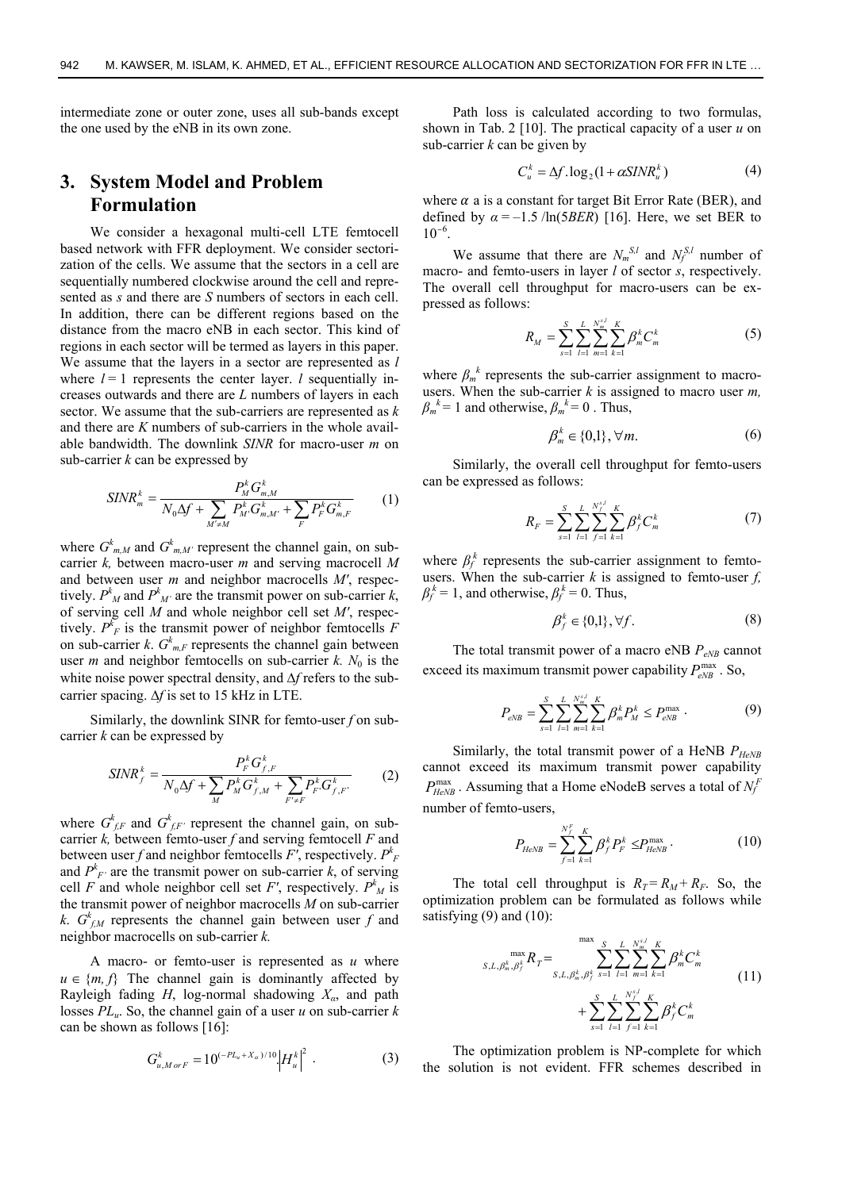intermediate zone or outer zone, uses all sub-bands except the one used by the eNB in its own zone.

# **3. System Model and Problem Formulation**

We consider a hexagonal multi-cell LTE femtocell based network with FFR deployment. We consider sectorization of the cells. We assume that the sectors in a cell are sequentially numbered clockwise around the cell and represented as *s* and there are *S* numbers of sectors in each cell. In addition, there can be different regions based on the distance from the macro eNB in each sector. This kind of regions in each sector will be termed as layers in this paper. We assume that the layers in a sector are represented as *l* where  $l = 1$  represents the center layer. *l* sequentially increases outwards and there are *L* numbers of layers in each sector. We assume that the sub-carriers are represented as *k* and there are *K* numbers of sub-carriers in the whole available bandwidth. The downlink *SINR* for macro-user *m* on sub-carrier *k* can be expressed by

$$
SINR_m^k = \frac{P_M^k G_{m,M}^k}{N_0 \Delta f + \sum_{M' \neq M} P_{M'}^k G_{m,M'}^k + \sum_F P_F^k G_{m,F}^k}
$$
(1)

where  $G^k_{m,M}$  and  $G^k_{m,M'}$  represent the channel gain, on subcarrier *k,* between macro-user *m* and serving macrocell *M* and between user *m* and neighbor macrocells *M′*, respectively.  $P^k{}_M$  and  $P^k{}_M$  are the transmit power on sub-carrier  $k$ , of serving cell *M* and whole neighbor cell set *M′*, respectively.  $P_{F}^{k}$  is the transmit power of neighbor femtocells *F* on sub-carrier *k*.  $G_{m,F}^k$  represents the channel gain between user *m* and neighbor femtocells on sub-carrier  $k$ .  $N_0$  is the white noise power spectral density, and  $\Delta f$  refers to the subcarrier spacing.  $\Delta f$  is set to 15 kHz in LTE.

Similarly, the downlink SINR for femto-user *f* on subcarrier *k* can be expressed by

$$
SINR_f^k = \frac{P_F^k G_{f,F}^k}{N_0 \Delta f + \sum_M P_M^k G_{f,M}^k + \sum_{F' \neq F} P_F^k G_{f,F'}^k}
$$
(2)

where  $G_{f,F}^{k}$  and  $G_{f,F}^{k}$  represent the channel gain, on subcarrier  $k$ , between femto-user  $f$  and serving femtocell  $F$  and between user *f* and neighbor femtocells *F′*, respectively. *Pk F* and  $P^k$ <sup>*F*</sup> are the transmit power on sub-carrier *k*, of serving cell *F* and whole neighbor cell set *F'*, respectively.  $P^k{}_M$  is the transmit power of neighbor macrocells *M* on sub-carrier *k*.  $G_{f,M}^k$  represents the channel gain between user *f* and neighbor macrocells on sub-carrier *k.*

A macro- or femto-user is represented as *u* where  $u \in \{m, f\}$  The channel gain is dominantly affected by Rayleigh fading *H*, log-normal shadowing *Xα*, and path losses *PLu*. So, the channel gain of a user *u* on sub-carrier *k* can be shown as follows [16]:

$$
G_{u,MorF}^{k} = 10^{(-PL_u + X_a)/10} |H_u^{k}|^2 \t\t(3)
$$

Path loss is calculated according to two formulas, shown in Tab. 2 [10]. The practical capacity of a user *u* on sub-carrier *k* can be given by

$$
C_u^k = \Delta f \cdot \log_2(1 + \alpha \, \text{SINR}_u^k) \tag{4}
$$

where  $\alpha$  a is a constant for target Bit Error Rate (BER), and defined by  $\alpha = -1.5$  /ln(5*BER*) [16]. Here, we set BER to  $10^{-6}$ .

We assume that there are  $N_m^{S,l}$  and  $N_f^{S,l}$  number of macro- and femto-users in layer *l* of sector *s*, respectively. The overall cell throughput for macro-users can be expressed as follows:

$$
R_M = \sum_{s=1}^{S} \sum_{l=1}^{L} \sum_{m=1}^{N_m^{s,l}} \sum_{k=1}^{K} \beta_m^k C_m^k \tag{5}
$$

where  $\beta_m^k$  represents the sub-carrier assignment to macrousers. When the sub-carrier *k* is assigned to macro user *m,*  $\beta_m^k = 1$  and otherwise,  $\beta_m^k = 0$ . Thus,

$$
\beta_m^k \in \{0,1\}, \forall m. \tag{6}
$$

Similarly, the overall cell throughput for femto-users can be expressed as follows:

$$
R_F = \sum_{s=1}^{S} \sum_{l=1}^{L} \sum_{f=1}^{N_f^{\times l}} \sum_{k=1}^{K} \beta_f^k C_m^k \tag{7}
$$

where  $\beta_f^k$  represents the sub-carrier assignment to femtousers. When the sub-carrier  $k$  is assigned to femto-user  $f$ ,  $\beta_f^k = 1$ , and otherwise,  $\beta_f^k = 0$ . Thus,

$$
\beta_f^k \in \{0,1\}, \forall f. \tag{8}
$$

The total transmit power of a macro eNB  $P_{eNB}$  cannot exceed its maximum transmit power capability  $P_{eNB}^{\text{max}}$ . So,

$$
P_{eNB} = \sum_{s=1}^{S} \sum_{l=1}^{L} \sum_{m=1}^{N_{m}^{s,l}} \sum_{k=1}^{K} \beta_{m}^{k} P_{M}^{k} \le P_{eNB}^{\max} \tag{9}
$$

Similarly, the total transmit power of a HeNB  $P_{HeNB}$  cannot exceed its maximum transmit power capability cannot exceed its maximum transmit power capability  $P_{HeNB}^{\text{max}}$ . Assuming that a Home eNodeB serves a total of  $N_f^F$ number of femto-users,

$$
P_{HeNB} = \sum_{f=1}^{N_f^F} \sum_{k=1}^{K} \beta_f^k P_F^k \le P_{HeNB}^{\max} \,. \tag{10}
$$

The total cell throughput is  $R_T = R_M + R_F$ . So, the optimization problem can be formulated as follows while satisfying (9) and (10):

$$
s_{s,L,\beta_m^k,\beta_f^k} \max_{r} R_T = \sum_{s_{s,L,\beta_m^k,\beta_f^k}} \sum_{s=1}^{S} \sum_{l=1}^{L} \sum_{m=1}^{N_m^{s,l}} \sum_{k=1}^{K} \beta_m^k C_m^k + \sum_{s=1}^{S} \sum_{l=1}^{L} \sum_{f=1}^{N_f^{s,l}} \sum_{k=1}^{K} \beta_f^k C_m^k
$$
(11)

The optimization problem is NP-complete for which the solution is not evident. FFR schemes described in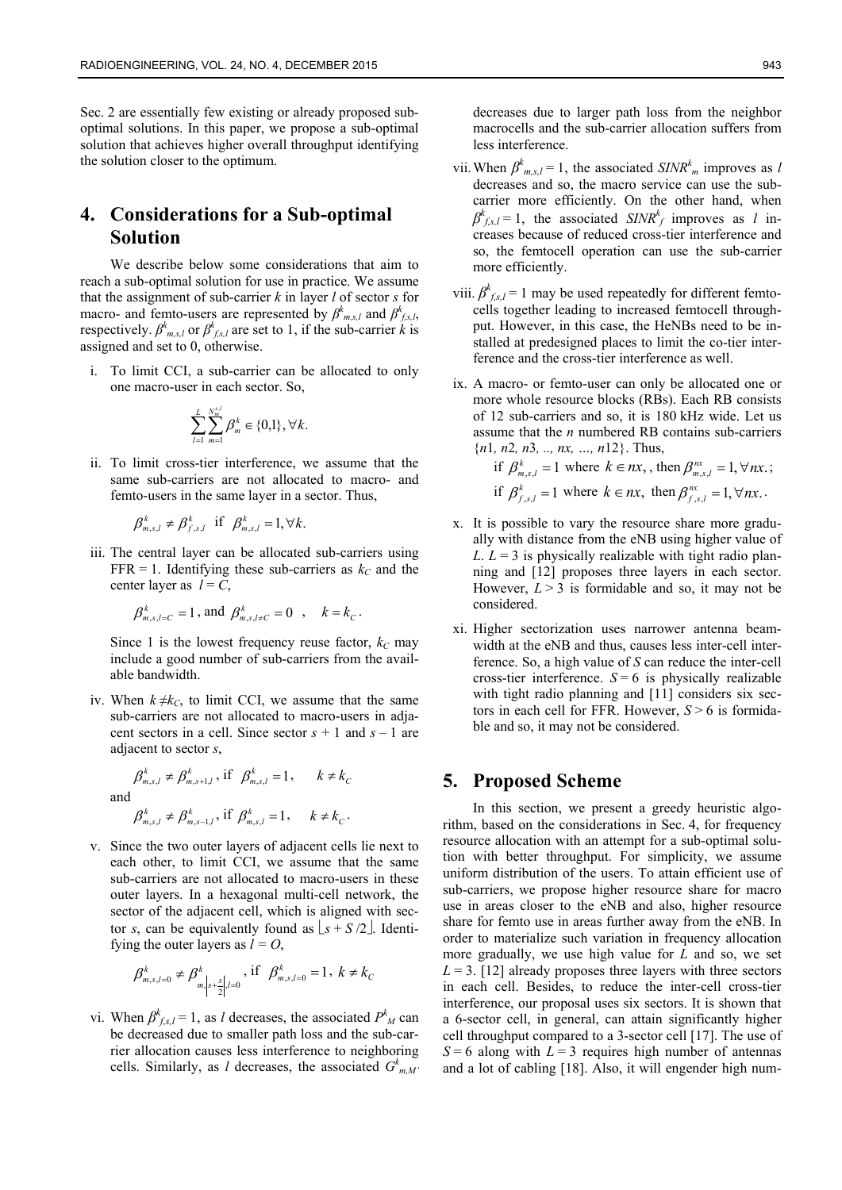Sec. 2 are essentially few existing or already proposed suboptimal solutions. In this paper, we propose a sub-optimal solution that achieves higher overall throughput identifying the solution closer to the optimum.

# **4. Considerations for a Sub-optimal Solution**

We describe below some considerations that aim to reach a sub-optimal solution for use in practice. We assume that the assignment of sub-carrier *k* in layer *l* of sector *s* for macro- and femto-users are represented by  $\beta^k_{m,s,l}$  and  $\beta^k_{f,s,l}$ , respectively.  $\beta^k_{m,s,l}$  or  $\beta^k_{fs,l}$  are set to 1, if the sub-carrier *k* is assigned and set to 0, otherwise.

i. To limit CCI, a sub-carrier can be allocated to only one macro-user in each sector. So,

$$
\sum_{l=1}^{L} \sum_{m=1}^{N_m^{s,l}} \beta_m^k \in \{0,1\}, \forall k.
$$

ii. To limit cross-tier interference, we assume that the same sub-carriers are not allocated to macro- and femto-users in the same layer in a sector. Thus,

$$
\beta_{m,s,l}^k \neq \beta_{f,s,l}^k \text{ if } \beta_{m,s,l}^k = 1, \forall k.
$$

iii. The central layer can be allocated sub-carriers using FFR = 1. Identifying these sub-carriers as  $k<sub>C</sub>$  and the center layer as  $l = C$ ,

$$
\beta_{m,s,l=C}^k = 1
$$
, and  $\beta_{m,s,l \neq C}^k = 0$ ,  $k = k_C$ .

Since 1 is the lowest frequency reuse factor,  $k_C$  may include a good number of sub-carriers from the available bandwidth.

iv. When  $k \neq k_c$ , to limit CCI, we assume that the same sub-carriers are not allocated to macro-users in adjacent sectors in a cell. Since sector  $s + 1$  and  $s - 1$  are adjacent to sector *s*,

 $\beta_{m,s,l}^k \neq \beta_{m,s+1,l}^k$ , if  $\beta_{m,s,l}^k = 1$ ,  $k \neq k_c$ and  $\beta_{m,s,l}^k \neq \beta_{m,s-1,l}^k$ , if  $\beta_{m,s,l}^k = 1$ ,  $k \neq k_c$ .

- 
- v. Since the two outer layers of adjacent cells lie next to each other, to limit CCI, we assume that the same sub-carriers are not allocated to macro-users in these outer layers. In a hexagonal multi-cell network, the sector of the adjacent cell, which is aligned with sector *s*, can be equivalently found as  $\lfloor s + S/2 \rfloor$ . Identifying the outer layers as  $l = O$ ,

$$
\beta^k_{m,s,l=0} \neq \beta^k_{m,s} \big|_{s+\frac{s}{2}|,l=0}, \text{ if } \beta^k_{m,s,l=0} = 1, \ k \neq k_{C}
$$

vi. When  $\beta^k_{f,s,l} = 1$ , as *l* decreases, the associated  $P^k{}_M$  can be decreased due to smaller path loss and the sub-carrier allocation causes less interference to neighboring cells. Similarly, as *l* decreases, the associated  $G_{m,M}^k$ 

decreases due to larger path loss from the neighbor macrocells and the sub-carrier allocation suffers from less interference.

- vii. When  $\beta_{m,s,l}^k = 1$ , the associated *SINR<sup>k</sup><sub>m</sub>* improves as *l* decreases and so, the macro service can use the subcarrier more efficiently. On the other hand, when  $\beta^{k}$ <sub>*f,s,l*</sub> = 1, the associated *SINR<sup>k</sup><sub>f</sub>* improves as *l* increases because of reduced cross-tier interference and so, the femtocell operation can use the sub-carrier more efficiently.
- viii.  $\beta^k_{fs,l} = 1$  may be used repeatedly for different femtocells together leading to increased femtocell throughput. However, in this case, the HeNBs need to be installed at predesigned places to limit the co-tier interference and the cross-tier interference as well.
- ix. A macro- or femto-user can only be allocated one or more whole resource blocks (RBs). Each RB consists of 12 sub-carriers and so, it is 180 kHz wide. Let us assume that the *n* numbered RB contains sub-carriers {*n*1*, n*2*, n*3*, .., nx, …, n*12}. Thus,

if 
$$
\beta_{m,s,l}^k = 1
$$
 where  $k \in nx$ , then  $\beta_{m,s,l}^{nx} = 1, \forall nx$ ;  
if  $\beta_{f,s,l}^k = 1$  where  $k \in nx$ , then  $\beta_{f,s,l}^{nx} = 1, \forall nx$ .

- x. It is possible to vary the resource share more gradually with distance from the eNB using higher value of *L*.  $L = 3$  is physically realizable with tight radio planning and [12] proposes three layers in each sector. However,  $L > 3$  is formidable and so, it may not be considered.
- xi. Higher sectorization uses narrower antenna beamwidth at the eNB and thus, causes less inter-cell interference. So, a high value of *S* can reduce the inter-cell cross-tier interference.  $S = 6$  is physically realizable with tight radio planning and [11] considers six sectors in each cell for FFR. However, *S* > 6 is formidable and so, it may not be considered.

## **5. Proposed Scheme**

In this section, we present a greedy heuristic algorithm, based on the considerations in Sec. 4, for frequency resource allocation with an attempt for a sub-optimal solution with better throughput. For simplicity, we assume uniform distribution of the users. To attain efficient use of sub-carriers, we propose higher resource share for macro use in areas closer to the eNB and also, higher resource share for femto use in areas further away from the eNB. In order to materialize such variation in frequency allocation more gradually, we use high value for *L* and so, we set  $L = 3$ . [12] already proposes three layers with three sectors in each cell. Besides, to reduce the inter-cell cross-tier interference, our proposal uses six sectors. It is shown that a 6-sector cell, in general, can attain significantly higher cell throughput compared to a 3-sector cell [17]. The use of  $S = 6$  along with  $L = 3$  requires high number of antennas and a lot of cabling [18]. Also, it will engender high num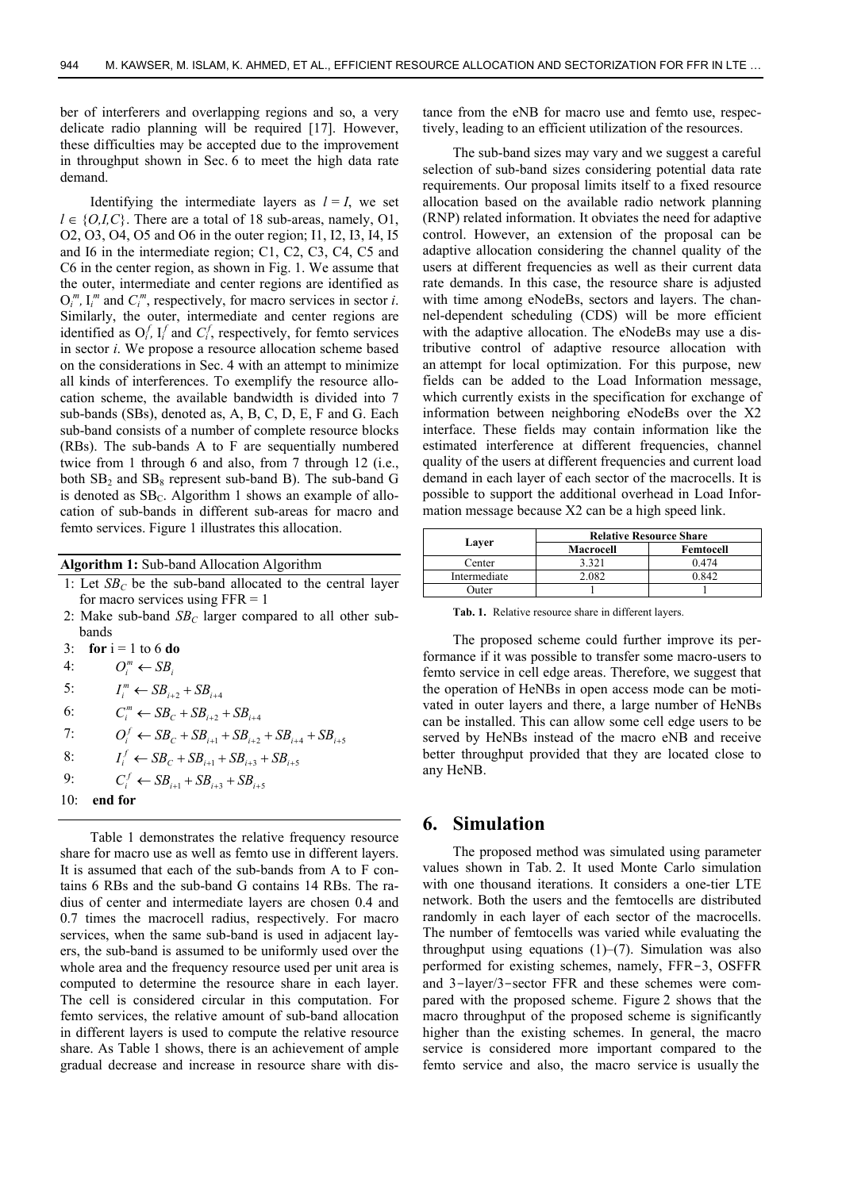ber of interferers and overlapping regions and so, a very delicate radio planning will be required [17]. However, these difficulties may be accepted due to the improvement in throughput shown in Sec. 6 to meet the high data rate demand.

Identifying the intermediate layers as  $l = I$ , we set  $l \in \{O, I, C\}$ . There are a total of 18 sub-areas, namely, O1, O2, O3, O4, O5 and O6 in the outer region; I1, I2, I3, I4, I5 and I6 in the intermediate region; C1, C2, C3, C4, C5 and C6 in the center region, as shown in Fig. 1. We assume that the outer, intermediate and center regions are identified as  $O_i^m$ ,  $I_i^m$  and  $C_i^m$ , respectively, for macro services in sector *i*. Similarly, the outer, intermediate and center regions are identified as  $O_i^f$ ,  $I_i^f$  and  $C_i^f$ , respectively, for femto services in sector *i*. We propose a resource allocation scheme based on the considerations in Sec. 4 with an attempt to minimize all kinds of interferences. To exemplify the resource allocation scheme, the available bandwidth is divided into 7 sub-bands (SBs), denoted as, A, B, C, D, E, F and G. Each sub-band consists of a number of complete resource blocks (RBs). The sub-bands A to F are sequentially numbered twice from 1 through 6 and also, from 7 through 12 (i.e., both  $SB_2$  and  $SB_8$  represent sub-band B). The sub-band G is denoted as  $SB<sub>C</sub>$ . Algorithm 1 shows an example of allocation of sub-bands in different sub-areas for macro and femto services. Figure 1 illustrates this allocation.

**Algorithm 1:** Sub-band Allocation Algorithm

- 1: Let  $SB<sub>C</sub>$  be the sub-band allocated to the central layer for macro services using  $FFR = 1$
- 2: Make sub-band  $SB_C$  larger compared to all other subbands
- 3: **for**  $i = 1$  to 6 **do**
- 4:  $O_i^m \leftarrow SB_i$
- 5:  $I_i^m \leftarrow SB_{i+2} + SB_{i+4}$
- 6:  $C_i^m \leftarrow SB_c + SB_{i+2} + SB_{i+4}$
- 7:  $O_i^f \leftarrow SB_c + SB_{i+1} + SB_{i+2} + SB_{i+4} + SB_{i+5}$
- 8:  $I_i^f \leftarrow SB_c + SB_{i+1} + SB_{i+3} + SB_{i+5}$
- 9:  $C_i^f \leftarrow SB_{i+1} + SB_{i+3} + SB_{i+5}$
- 10: **end for**

Table 1 demonstrates the relative frequency resource share for macro use as well as femto use in different layers. It is assumed that each of the sub-bands from A to F contains 6 RBs and the sub-band G contains 14 RBs. The radius of center and intermediate layers are chosen 0.4 and 0.7 times the macrocell radius, respectively. For macro services, when the same sub-band is used in adjacent layers, the sub-band is assumed to be uniformly used over the whole area and the frequency resource used per unit area is computed to determine the resource share in each layer. The cell is considered circular in this computation. For femto services, the relative amount of sub-band allocation in different layers is used to compute the relative resource share. As Table 1 shows, there is an achievement of ample gradual decrease and increase in resource share with distance from the eNB for macro use and femto use, respectively, leading to an efficient utilization of the resources.

The sub-band sizes may vary and we suggest a careful selection of sub-band sizes considering potential data rate requirements. Our proposal limits itself to a fixed resource allocation based on the available radio network planning (RNP) related information. It obviates the need for adaptive control. However, an extension of the proposal can be adaptive allocation considering the channel quality of the users at different frequencies as well as their current data rate demands. In this case, the resource share is adjusted with time among eNodeBs, sectors and layers. The channel-dependent scheduling (CDS) will be more efficient with the adaptive allocation. The eNodeBs may use a distributive control of adaptive resource allocation with an attempt for local optimization. For this purpose, new fields can be added to the Load Information message, which currently exists in the specification for exchange of information between neighboring eNodeBs over the X2 interface. These fields may contain information like the estimated interference at different frequencies, channel quality of the users at different frequencies and current load demand in each layer of each sector of the macrocells. It is possible to support the additional overhead in Load Information message because X2 can be a high speed link.

| Laver        | <b>Relative Resource Share</b> |           |
|--------------|--------------------------------|-----------|
|              | Macrocell                      | Femtocell |
| Center       | 3.321                          | በ 474     |
| Intermediate |                                |           |
| <b>Suter</b> |                                |           |

**Tab. 1.** Relative resource share in different layers.

The proposed scheme could further improve its performance if it was possible to transfer some macro-users to femto service in cell edge areas. Therefore, we suggest that the operation of HeNBs in open access mode can be motivated in outer layers and there, a large number of HeNBs can be installed. This can allow some cell edge users to be served by HeNBs instead of the macro eNB and receive better throughput provided that they are located close to any HeNB.

#### **6. Simulation**

The proposed method was simulated using parameter values shown in Tab. 2. It used Monte Carlo simulation with one thousand iterations. It considers a one-tier LTE network. Both the users and the femtocells are distributed randomly in each layer of each sector of the macrocells. The number of femtocells was varied while evaluating the throughput using equations  $(1)$ – $(7)$ . Simulation was also performed for existing schemes, namely, FFR-3, OSFFR and 3-layer/3-sector FFR and these schemes were compared with the proposed scheme. Figure 2 shows that the macro throughput of the proposed scheme is significantly higher than the existing schemes. In general, the macro service is considered more important compared to the femto service and also, the macro service is usually the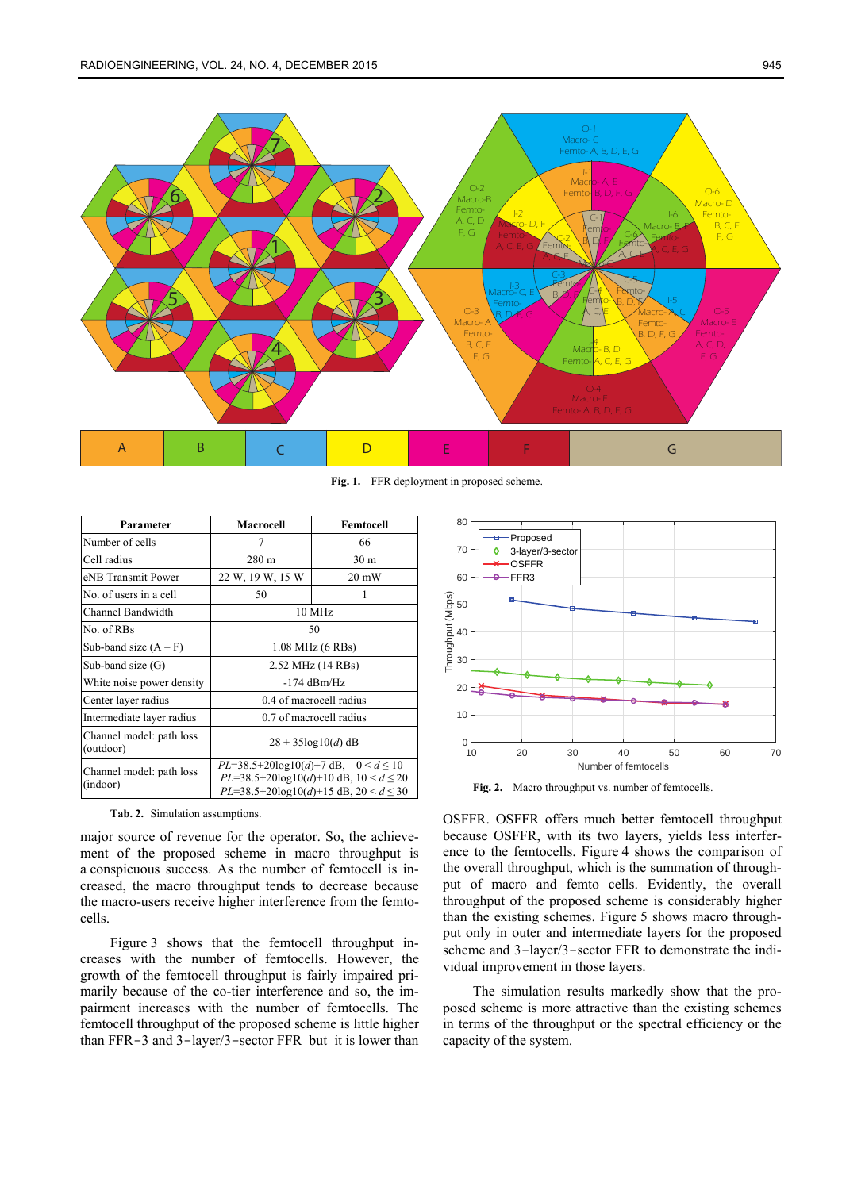

**Fig. 1.** FFR deployment in proposed scheme.

| Parameter                             | Macrocell                                                                                                                                      | Femtocell       |
|---------------------------------------|------------------------------------------------------------------------------------------------------------------------------------------------|-----------------|
| Number of cells                       | 7                                                                                                                                              | 66              |
| Cell radius                           | $280 \text{ m}$                                                                                                                                | 30 <sub>m</sub> |
| eNB Transmit Power                    | 22 W, 19 W, 15 W                                                                                                                               | $20 \text{ mW}$ |
| No. of users in a cell                | 50                                                                                                                                             | 1               |
| Channel Bandwidth                     | 10 MHz                                                                                                                                         |                 |
| No. of RBs                            | 50                                                                                                                                             |                 |
| Sub-band size $(A - F)$               | 1.08 MHz (6 RBs)                                                                                                                               |                 |
| Sub-band size $(G)$                   | 2.52 MHz (14 RBs)                                                                                                                              |                 |
| White noise power density             | $-174$ dBm/Hz                                                                                                                                  |                 |
| Center layer radius                   | 0.4 of macrocell radius                                                                                                                        |                 |
| Intermediate layer radius             | 0.7 of macrocell radius                                                                                                                        |                 |
| Channel model: path loss<br>(outdoor) | $28 + 35\log(10(d))$ dB                                                                                                                        |                 |
| Channel model: path loss<br>(indoor)  | $PL=38.5+20\log 10(d)+7$ dB, $0 < d \le 10$<br>$PL=38.5+20\log 10(d)+10$ dB, $10 < d \le 20$<br>$PL=38.5+20\log 10(d)+15 dB$ , $20 < d \le 30$ |                 |

**Tab. 2.** Simulation assumptions.

major source of revenue for the operator. So, the achievement of the proposed scheme in macro throughput is a conspicuous success. As the number of femtocell is increased, the macro throughput tends to decrease because the macro-users receive higher interference from the femtocells.

Figure 3 shows that the femtocell throughput increases with the number of femtocells. However, the growth of the femtocell throughput is fairly impaired primarily because of the co-tier interference and so, the impairment increases with the number of femtocells. The femtocell throughput of the proposed scheme is little higher than FFR-3 and 3-layer/3-sector FFR but it is lower than



**Fig. 2.** Macro throughput vs. number of femtocells.

OSFFR. OSFFR offers much better femtocell throughput because OSFFR, with its two layers, yields less interference to the femtocells. Figure 4 shows the comparison of the overall throughput, which is the summation of throughput of macro and femto cells. Evidently, the overall throughput of the proposed scheme is considerably higher than the existing schemes. Figure 5 shows macro throughput only in outer and intermediate layers for the proposed scheme and 3-layer/3-sector FFR to demonstrate the individual improvement in those layers.

The simulation results markedly show that the proposed scheme is more attractive than the existing schemes in terms of the throughput or the spectral efficiency or the capacity of the system.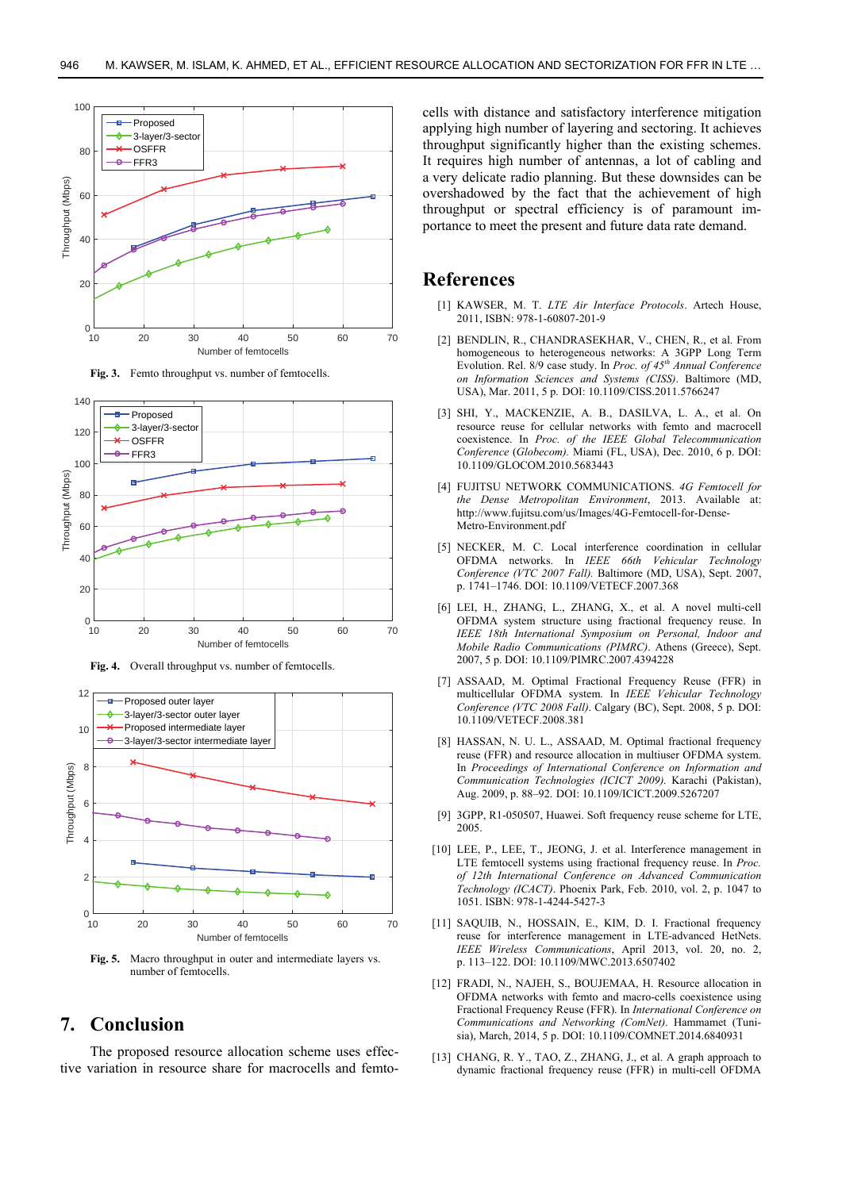

**Fig. 3.** Femto throughput vs. number of femtocells.



**Fig. 4.** Overall throughput vs. number of femtocells.



**Fig. 5.** Macro throughput in outer and intermediate layers vs. number of femtocells.

## **7. Conclusion**

The proposed resource allocation scheme uses effective variation in resource share for macrocells and femtocells with distance and satisfactory interference mitigation applying high number of layering and sectoring. It achieves throughput significantly higher than the existing schemes. It requires high number of antennas, a lot of cabling and a very delicate radio planning. But these downsides can be overshadowed by the fact that the achievement of high throughput or spectral efficiency is of paramount importance to meet the present and future data rate demand.

## **References**

- [1] KAWSER, M. T. *LTE Air Interface Protocols*. Artech House, 2011, ISBN: 978-1-60807-201-9
- [2] BENDLIN, R., CHANDRASEKHAR, V., CHEN, R., et al. From homogeneous to heterogeneous networks: A 3GPP Long Term Evolution. Rel. 8/9 case study. In *Proc. of 45th Annual Conference on Information Sciences and Systems (CISS)*. Baltimore (MD, USA), Mar. 2011, 5 p. DOI: 10.1109/CISS.2011.5766247
- [3] SHI, Y., MACKENZIE, A. B., DASILVA, L. A., et al. On resource reuse for cellular networks with femto and macrocell coexistence. In *Proc. of the IEEE Global Telecommunication Conference* (*Globecom).* Miami (FL, USA), Dec. 2010, 6 p. DOI: 10.1109/GLOCOM.2010.5683443
- [4] FUJITSU NETWORK COMMUNICATIONS. *4G Femtocell for the Dense Metropolitan Environment*, 2013. Available at: http://www.fujitsu.com/us/Images/4G-Femtocell-for-Dense-Metro-Environment.pdf
- [5] NECKER, M. C. Local interference coordination in cellular OFDMA networks. In *IEEE 66th Vehicular Technology Conference (VTC 2007 Fall).* Baltimore (MD, USA), Sept. 2007, p. 1741–1746. DOI: 10.1109/VETECF.2007.368
- [6] LEI, H., ZHANG, L., ZHANG, X., et al. A novel multi-cell OFDMA system structure using fractional frequency reuse. In *IEEE 18th International Symposium on Personal, Indoor and Mobile Radio Communications (PIMRC)*. Athens (Greece), Sept. 2007, 5 p. DOI: 10.1109/PIMRC.2007.4394228
- [7] ASSAAD, M. Optimal Fractional Frequency Reuse (FFR) in multicellular OFDMA system. In *IEEE Vehicular Technology Conference (VTC 2008 Fall)*. Calgary (BC), Sept. 2008, 5 p. DOI: 10.1109/VETECF.2008.381
- [8] HASSAN, N. U. L., ASSAAD, M. Optimal fractional frequency reuse (FFR) and resource allocation in multiuser OFDMA system. In *Proceedings of International Conference on Information and Communication Technologies (ICICT 2009).* Karachi (Pakistan), Aug. 2009, p. 88–92. DOI: 10.1109/ICICT.2009.5267207
- [9] 3GPP, R1-050507, Huawei. Soft frequency reuse scheme for LTE, 2005.
- [10] LEE, P., LEE, T., JEONG, J. et al. Interference management in LTE femtocell systems using fractional frequency reuse. In *Proc. of 12th International Conference on Advanced Communication Technology (ICACT)*. Phoenix Park, Feb. 2010, vol. 2, p. 1047 to 1051. ISBN: 978-1-4244-5427-3
- [11] SAQUIB, N., HOSSAIN, E., KIM, D. I. Fractional frequency reuse for interference management in LTE-advanced HetNets. *IEEE Wireless Communications*, April 2013, vol. 20, no. 2, p. 113–122. DOI: 10.1109/MWC.2013.6507402
- [12] FRADI, N., NAJEH, S., BOUJEMAA, H. Resource allocation in OFDMA networks with femto and macro-cells coexistence using Fractional Frequency Reuse (FFR). In *International Conference on Communications and Networking (ComNet)*. Hammamet (Tunisia), March, 2014, 5 p. DOI: 10.1109/COMNET.2014.6840931
- [13] CHANG, R. Y., TAO, Z., ZHANG, J., et al. A graph approach to dynamic fractional frequency reuse (FFR) in multi-cell OFDMA